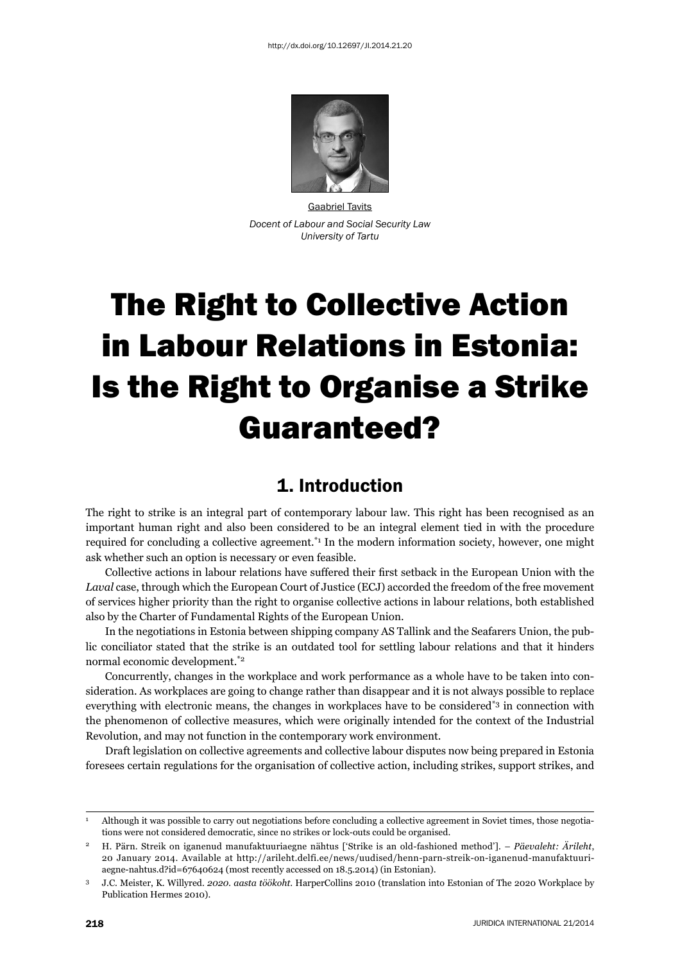

Gaabriel Tavits *Docent of Labour and Social Security Law University of Tartu*

# The Right to Collective Action in Labour Relations in Estonia: Is the Right to Organise a Strike Guaranteed?

### 1. Introduction

The right to strike is an integral part of contemporary labour law. This right has been recognised as an important human right and also been considered to be an integral element tied in with the procedure required for concluding a collective agreement.\*1 In the modern information society, however, one might ask whether such an option is necessary or even feasible.

Collective actions in labour relations have suffered their first setback in the European Union with the *Laval* case, through which the European Court of Justice (ECJ) accorded the freedom of the free movement of services higher priority than the right to organise collective actions in labour relations, both established also by the Charter of Fundamental Rights of the European Union.

In the negotiations in Estonia between shipping company AS Tallink and the Seafarers Union, the public conciliator stated that the strike is an outdated tool for settling labour relations and that it hinders normal economic development.\*2

Concurrently, changes in the workplace and work performance as a whole have to be taken into consideration. As workplaces are going to change rather than disappear and it is not always possible to replace everything with electronic means, the changes in workplaces have to be considered\*3 in connection with the phenomenon of collective measures, which were originally intended for the context of the Industrial Revolution, and may not function in the contemporary work environment.

Draft legislation on collective agreements and collective labour disputes now being prepared in Estonia foresees certain regulations for the organisation of collective action, including strikes, support strikes, and

<sup>1</sup> Although it was possible to carry out negotiations before concluding a collective agreement in Soviet times, those negotiations were not considered democratic, since no strikes or lock-outs could be organised.

<sup>2</sup> H. Pärn. Streik on iganenud manufaktuuriaegne nähtus ['Strike is an old-fashioned method']. – *Päevaleht: Ärileht*, 20 January 2014. Available at http://arileht.delfi.ee/news/uudised/henn-parn-streik-on-iganenud-manufaktuuriaegne-nahtus.d?id=67640624 (most recently accessed on 18.5.2014) (in Estonian).

<sup>3</sup> J.C. Meister, K. Willyred. *2020. aasta töökoht*. HarperCollins 2010 (translation into Estonian of The 2020 Workplace by Publication Hermes 2010).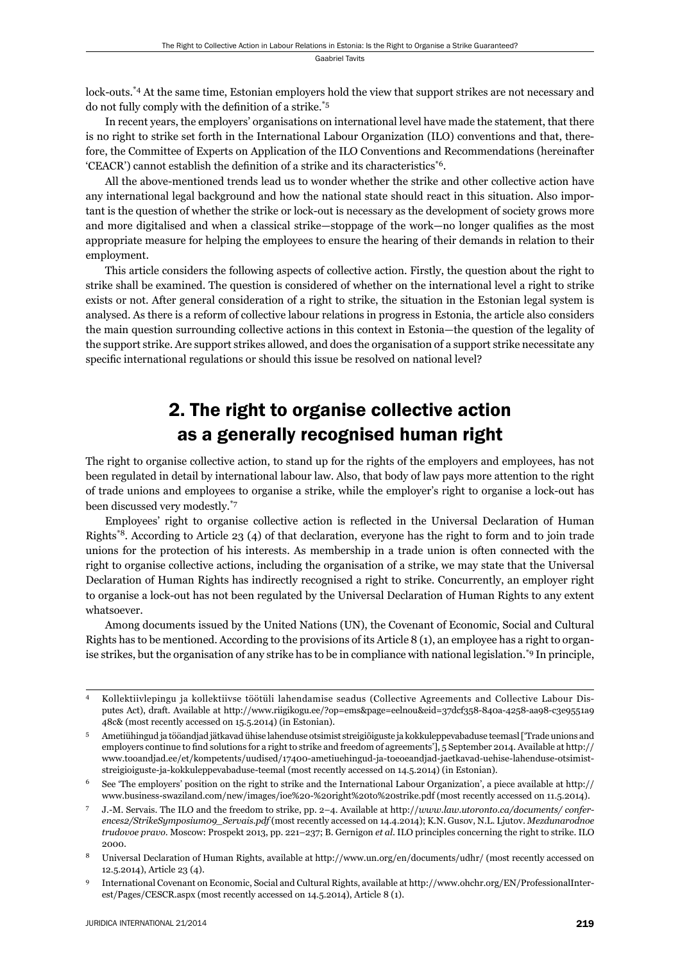lock-outs.\*4 At the same time, Estonian employers hold the view that support strikes are not necessary and do not fully comply with the definition of a strike.<sup>\*5</sup>

In recent years, the employers' organisations on international level have made the statement, that there is no right to strike set forth in the International Labour Organization (ILO) conventions and that, therefore, the Committee of Experts on Application of the ILO Conventions and Recommendations (hereinafter 'CEACR') cannot establish the definition of a strike and its characteristics<sup>\*6</sup>.

All the above-mentioned trends lead us to wonder whether the strike and other collective action have any international legal background and how the national state should react in this situation. Also important is the question of whether the strike or lock-out is necessary as the development of society grows more and more digitalised and when a classical strike—stoppage of the work—no longer qualifies as the most appropriate measure for helping the employees to ensure the hearing of their demands in relation to their employment.

This article considers the following aspects of collective action. Firstly, the question about the right to strike shall be examined. The question is considered of whether on the international level a right to strike exists or not. After general consideration of a right to strike, the situation in the Estonian legal system is analysed. As there is a reform of collective labour relations in progress in Estonia, the article also considers the main question surrounding collective actions in this context in Estonia—the question of the legality of the support strike. Are support strikes allowed, and does the organisation of a support strike necessitate any specific international regulations or should this issue be resolved on national level?

# 2. The right to organise collective action as a generally recognised human right

The right to organise collective action, to stand up for the rights of the employers and employees, has not been regulated in detail by international labour law. Also, that body of law pays more attention to the right of trade unions and employees to organise a strike, while the employer's right to organise a lock-out has been discussed very modestly.\*7

Employees' right to organise collective action is reflected in the Universal Declaration of Human Rights\*8. According to Article 23 (4) of that declaration, everyone has the right to form and to join trade unions for the protection of his interests. As membership in a trade union is often connected with the right to organise collective actions, including the organisation of a strike, we may state that the Universal Declaration of Human Rights has indirectly recognised a right to strike. Concurrently, an employer right to organise a lock-out has not been regulated by the Universal Declaration of Human Rights to any extent whatsoever.

Among documents issued by the United Nations (UN), the Covenant of Economic, Social and Cultural Rights has to be mentioned. According to the provisions of its Article 8 (1), an employee has a right to organise strikes, but the organisation of any strike has to be in compliance with national legislation.\*9 In principle,

<sup>4</sup> Kollektiivlepingu ja kollektiivse töötüli lahendamise seadus (Collective Agreements and Collective Labour Disputes Act), draft. Available at http://www.riigikogu.ee/?op=ems&page=eelnou&eid=37dcf358-840a-4258-aa98-c3e9551a9 48c& (most recently accessed on 15.5.2014) (in Estonian).

<sup>5</sup> Ametiühingud ja tööandjad jätkavad ühise lahenduse otsimist streigiõiguste ja kokkuleppevabaduse teemasl ['Trade unions and employers continue to find solutions for a right to strike and freedom of agreements'], 5 September 2014. Available at http:// www.tooandjad.ee/et/kompetents/uudised/17400-ametiuehingud-ja-toeoeandjad-jaetkavad-uehise-lahenduse-otsimiststreigioiguste-ja-kokkuleppevabaduse-teemal (most recently accessed on 14.5.2014) (in Estonian).

<sup>6</sup> See 'The employers' position on the right to strike and the International Labour Organization', a piece available at http:// www.business-swaziland.com/new/images/ioe%20-%20right%20to%20strike.pdf (most recently accessed on 11.5.2014).

<sup>7</sup> J.-M. Servais. The ILO and the freedom to strike, pp. 2–4. Available at http://*www.law.utoronto.ca/documents/ conferences2/StrikeSymposium09\_Servais.pdf* (most recently accessed on 14.4.2014); K.N. Gusov, N.L. Ljutov. *Mezdunarodnoe trudovoe pravo*. Moscow: Prospekt 2013, pp. 221–237; B. Gernigon *et al*. ILO principles concerning the right to strike. ILO 2000.

<sup>8</sup> Universal Declaration of Human Rights, available at http://www.un.org/en/documents/udhr/ (most recently accessed on 12.5.2014), Article 23 (4).

<sup>9</sup> International Covenant on Economic, Social and Cultural Rights, available at http://www.ohchr.org/EN/ProfessionalInterest/Pages/CESCR.aspx (most recently accessed on 14.5.2014), Article 8 (1).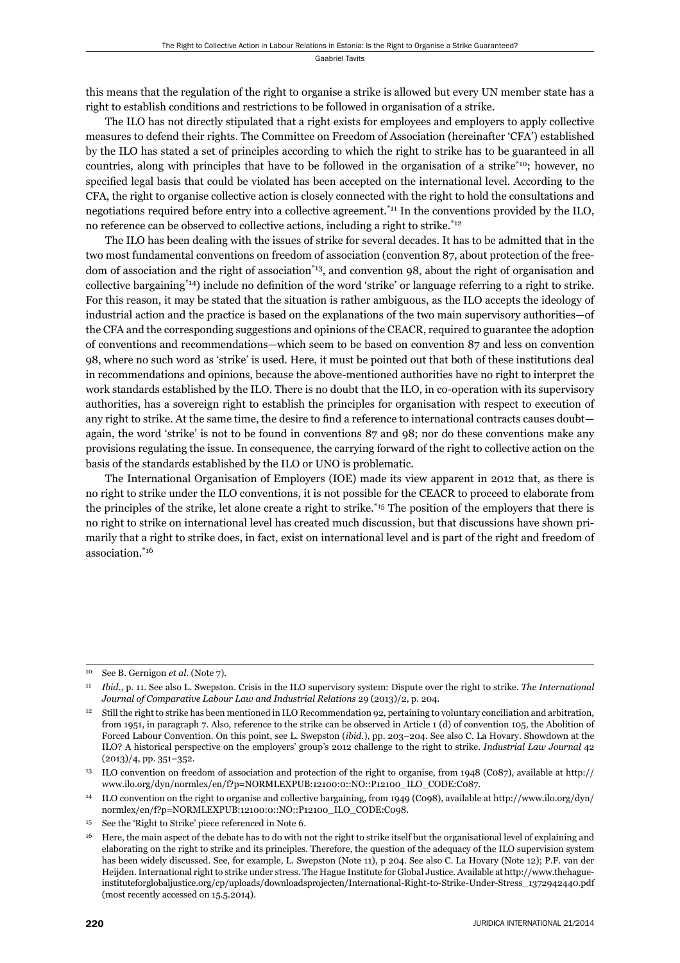this means that the regulation of the right to organise a strike is allowed but every UN member state has a right to establish conditions and restrictions to be followed in organisation of a strike.

The ILO has not directly stipulated that a right exists for employees and employers to apply collective measures to defend their rights. The Committee on Freedom of Association (hereinafter 'CFA') established by the ILO has stated a set of principles according to which the right to strike has to be guaranteed in all countries, along with principles that have to be followed in the organisation of a strike\*10; however, no specified legal basis that could be violated has been accepted on the international level. According to the CFA, the right to organise collective action is closely connected with the right to hold the consultations and negotiations required before entry into a collective agreement.<sup>\*11</sup> In the conventions provided by the ILO, no reference can be observed to collective actions, including a right to strike.\*12

The ILO has been dealing with the issues of strike for several decades. It has to be admitted that in the two most fundamental conventions on freedom of association (convention 87, about protection of the freedom of association and the right of association\*13, and convention 98, about the right of organisation and collective bargaining<sup>\*14</sup>) include no definition of the word 'strike' or language referring to a right to strike. For this reason, it may be stated that the situation is rather ambiguous, as the ILO accepts the ideology of industrial action and the practice is based on the explanations of the two main supervisory authorities—of the CFA and the corresponding suggestions and opinions of the CEACR, required to guarantee the adoption of conventions and recommendations—which seem to be based on convention 87 and less on convention 98, where no such word as 'strike' is used. Here, it must be pointed out that both of these institutions deal in recommendations and opinions, because the above-mentioned authorities have no right to interpret the work standards established by the ILO. There is no doubt that the ILO, in co-operation with its supervisory authorities, has a sovereign right to establish the principles for organisation with respect to execution of any right to strike. At the same time, the desire to find a reference to international contracts causes doubt again, the word 'strike' is not to be found in conventions 87 and 98; nor do these conventions make any provisions regulating the issue. In consequence, the carrying forward of the right to collective action on the basis of the standards established by the ILO or UNO is problematic.

The International Organisation of Employers (IOE) made its view apparent in 2012 that, as there is no right to strike under the ILO conventions, it is not possible for the CEACR to proceed to elaborate from the principles of the strike, let alone create a right to strike.\*15 The position of the employers that there is no right to strike on international level has created much discussion, but that discussions have shown primarily that a right to strike does, in fact, exist on international level and is part of the right and freedom of association.\*16

<sup>10</sup> See B. Gernigon *et al*. (Note 7).

<sup>11</sup> *Ibid*., p. 11. See also L. Swepston. Crisis in the ILO supervisory system: Dispute over the right to strike. *The International Journal of Comparative Labour Law and Industrial Relations* 29 (2013)/2, p. 204.

<sup>12</sup> Still the right to strike has been mentioned in ILO Recommendation 92, pertaining to voluntary conciliation and arbitration, from 1951, in paragraph 7. Also, reference to the strike can be observed in Article 1 (d) of convention 105, the Abolition of Forced Labour Convention. On this point, see L. Swepston (*ibid*.), pp. 203–204. See also C. La Hovary. Showdown at the ILO? A historical perspective on the employers' group's 2012 challenge to the right to strike. *Industrial Law Journal* 42 (2013)/4, pp. 351–352.

<sup>13</sup> ILO convention on freedom of association and protection of the right to organise, from 1948 (C087), available at http:// www.ilo.org/dyn/normlex/en/f?p=NORMLEXPUB:12100:0::NO::P12100\_ILO\_CODE:C087.

<sup>14</sup> ILO convention on the right to organise and collective bargaining, from 1949 (C098), available at http://www.ilo.org/dyn/ normlex/en/f?p=NORMLEXPUB:12100:0::NO::P12100\_ILO\_CODE:C098.

<sup>15</sup> See the 'Right to Strike' piece referenced in Note 6.

<sup>16</sup> Here, the main aspect of the debate has to do with not the right to strike itself but the organisational level of explaining and elaborating on the right to strike and its principles. Therefore, the question of the adequacy of the ILO supervision system has been widely discussed. See, for example, L. Swepston (Note 11), p 204. See also C. La Hovary (Note 12); P.F. van der Heijden. International right to strike under stress. The Hague Institute for Global Justice. Available at http://www.thehagueinstituteforglobaljustice.org/cp/uploads/downloadsprojecten/International-Right-to-Strike-Under-Stress\_1372942440.pdf (most recently accessed on 15.5.2014).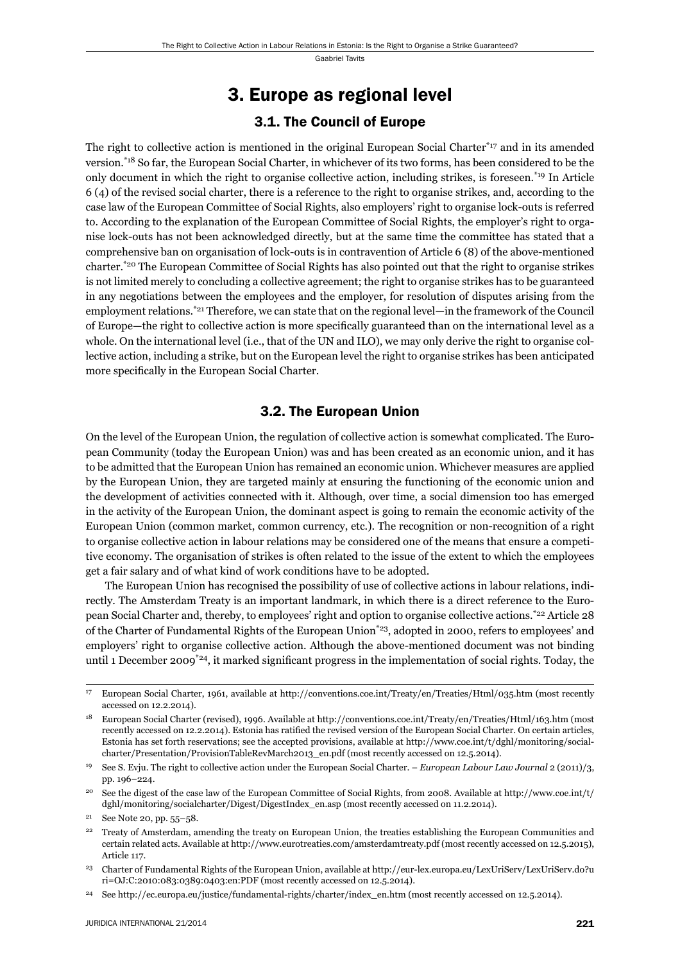### 3. Europe as regional level 3.1. The Council of Europe

The right to collective action is mentioned in the original European Social Charter\*17 and in its amended version.\*18 So far, the European Social Charter, in whichever of its two forms, has been considered to be the only document in which the right to organise collective action, including strikes, is foreseen.\*19 In Article 6 (4) of the revised social charter, there is a reference to the right to organise strikes, and, according to the case law of the European Committee of Social Rights, also employers' right to organise lock-outs is referred to. According to the explanation of the European Committee of Social Rights, the employer's right to organise lock-outs has not been acknowledged directly, but at the same time the committee has stated that a comprehensive ban on organisation of lock-outs is in contravention of Article 6 (8) of the above-mentioned charter.\*20 The European Committee of Social Rights has also pointed out that the right to organise strikes is not limited merely to concluding a collective agreement; the right to organise strikes has to be guaranteed in any negotiations between the employees and the employer, for resolution of disputes arising from the employment relations.<sup>\*21</sup> Therefore, we can state that on the regional level—in the framework of the Council of Europe—the right to collective action is more specifically guaranteed than on the international level as a whole. On the international level (i.e., that of the UN and ILO), we may only derive the right to organise collective action, including a strike, but on the European level the right to organise strikes has been anticipated more specifically in the European Social Charter.

#### 3.2. The European Union

On the level of the European Union, the regulation of collective action is somewhat complicated. The European Community (today the European Union) was and has been created as an economic union, and it has to be admitted that the European Union has remained an economic union. Whichever measures are applied by the European Union, they are targeted mainly at ensuring the functioning of the economic union and the development of activities connected with it. Although, over time, a social dimension too has emerged in the activity of the European Union, the dominant aspect is going to remain the economic activity of the European Union (common market, common currency, etc.). The recognition or non-recognition of a right to organise collective action in labour relations may be considered one of the means that ensure a competitive economy. The organisation of strikes is often related to the issue of the extent to which the employees get a fair salary and of what kind of work conditions have to be adopted.

The European Union has recognised the possibility of use of collective actions in labour relations, indirectly. The Amsterdam Treaty is an important landmark, in which there is a direct reference to the European Social Charter and, thereby, to employees' right and option to organise collective actions.\*22 Article 28 of the Charter of Fundamental Rights of the European Union\*23, adopted in 2000, refers to employees' and employers' right to organise collective action. Although the above-mentioned document was not binding until 1 December 2009<sup>\*24</sup>, it marked significant progress in the implementation of social rights. Today, the

<sup>17</sup> European Social Charter, 1961, available at http://conventions.coe.int/Treaty/en/Treaties/Html/035.htm (most recently accessed on 12.2.2014).

<sup>18</sup> European Social Charter (revised), 1996. Available at http://conventions.coe.int/Treaty/en/Treaties/Html/163.htm (most recently accessed on 12.2.2014). Estonia has ratified the revised version of the European Social Charter. On certain articles, Estonia has set forth reservations; see the accepted provisions, available at http://www.coe.int/t/dghl/monitoring/socialcharter/Presentation/ProvisionTableRevMarch2013\_en.pdf (most recently accessed on 12.5.2014).

<sup>19</sup> See S. Evju. The right to collective action under the European Social Charter. – *European Labour Law Journal* 2 (2011)/3, pp. 196–224.

<sup>20</sup> See the digest of the case law of the European Committee of Social Rights, from 2008. Available at http://www.coe.int/t/ dghl/monitoring/socialcharter/Digest/DigestIndex\_en.asp (most recently accessed on 11.2.2014).

<sup>21</sup> See Note 20, pp. 55–58.

<sup>22</sup> Treaty of Amsterdam, amending the treaty on European Union, the treaties establishing the European Communities and certain related acts. Available at http://www.eurotreaties.com/amsterdamtreaty.pdf (most recently accessed on 12.5.2015), Article 117.

<sup>23</sup> Charter of Fundamental Rights of the European Union, available at http://eur-lex.europa.eu/LexUriServ/LexUriServ.do?u ri=OJ:C:2010:083:0389:0403:en:PDF (most recently accessed on 12.5.2014).

<sup>24</sup> See http://ec.europa.eu/justice/fundamental-rights/charter/index\_en.htm (most recently accessed on 12.5.2014).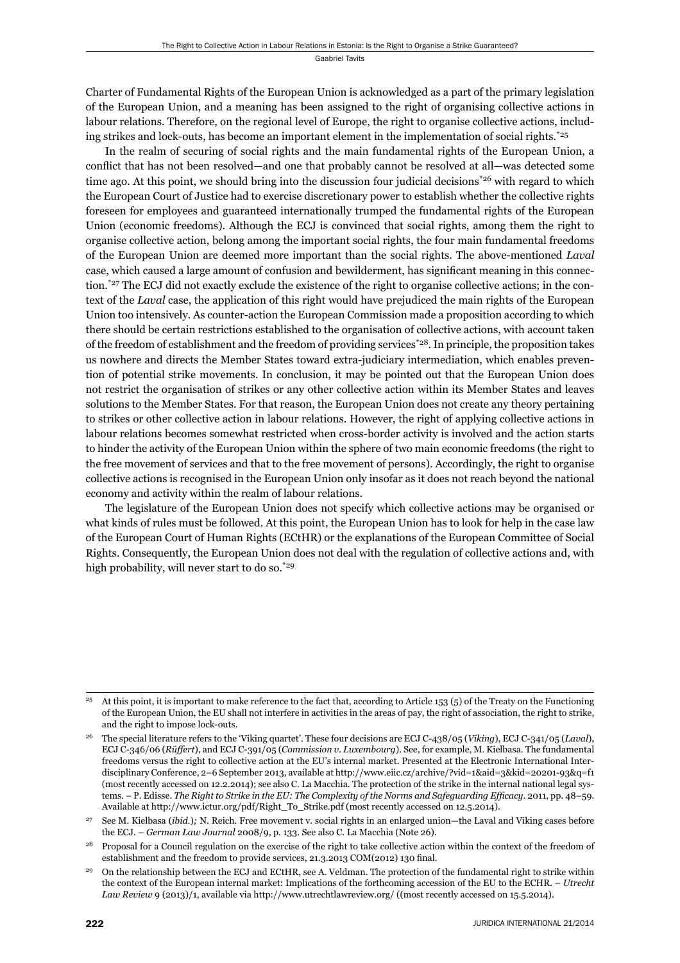Charter of Fundamental Rights of the European Union is acknowledged as a part of the primary legislation of the European Union, and a meaning has been assigned to the right of organising collective actions in labour relations. Therefore, on the regional level of Europe, the right to organise collective actions, including strikes and lock-outs, has become an important element in the implementation of social rights.\*25

In the realm of securing of social rights and the main fundamental rights of the European Union, a conflict that has not been resolved—and one that probably cannot be resolved at all—was detected some time ago. At this point, we should bring into the discussion four judicial decisions\*26 with regard to which the European Court of Justice had to exercise discretionary power to establish whether the collective rights foreseen for employees and guaranteed internationally trumped the fundamental rights of the European Union (economic freedoms). Although the ECJ is convinced that social rights, among them the right to organise collective action, belong among the important social rights, the four main fundamental freedoms of the European Union are deemed more important than the social rights. The above-mentioned *Laval* case, which caused a large amount of confusion and bewilderment, has significant meaning in this connection.\*27 The ECJ did not exactly exclude the existence of the right to organise collective actions; in the context of the *Laval* case, the application of this right would have prejudiced the main rights of the European Union too intensively. As counter-action the European Commission made a proposition according to which there should be certain restrictions established to the organisation of collective actions, with account taken of the freedom of establishment and the freedom of providing services<sup>\*28</sup>. In principle, the proposition takes us nowhere and directs the Member States toward extra-judiciary intermediation, which enables prevention of potential strike movements. In conclusion, it may be pointed out that the European Union does not restrict the organisation of strikes or any other collective action within its Member States and leaves solutions to the Member States. For that reason, the European Union does not create any theory pertaining to strikes or other collective action in labour relations. However, the right of applying collective actions in labour relations becomes somewhat restricted when cross-border activity is involved and the action starts to hinder the activity of the European Union within the sphere of two main economic freedoms (the right to the free movement of services and that to the free movement of persons). Accordingly, the right to organise collective actions is recognised in the European Union only insofar as it does not reach beyond the national economy and activity within the realm of labour relations.

The legislature of the European Union does not specify which collective actions may be organised or what kinds of rules must be followed. At this point, the European Union has to look for help in the case law of the European Court of Human Rights (ECtHR) or the explanations of the European Committee of Social Rights. Consequently, the European Union does not deal with the regulation of collective actions and, with high probability, will never start to do so.<sup>\*29</sup>

<sup>25</sup> At this point, it is important to make reference to the fact that, according to Article 153 (5) of the Treaty on the Functioning of the European Union, the EU shall not interfere in activities in the areas of pay, the right of association, the right to strike, and the right to impose lock-outs.

<sup>26</sup> The special literature refers to the 'Viking quartet'. These four decisions are ECJ C-438/05 (*Viking*), ECJ C-341/05 (*Laval*), ECJ C-346/06 (*Rüffert*), and ECJ C-391/05 (*Commission v. Luxembourg*). See, for example, M. Kielbasa. The fundamental freedoms versus the right to collective action at the EU's internal market. Presented at the Electronic International Interdisciplinary Conference, 2–6 September 2013, available at http://www.eiic.cz/archive/?vid=1&aid=3&kid=20201-93&q=f1 (most recently accessed on 12.2.2014); see also C. La Macchia. The protection of the strike in the internal national legal systems. – P. Edisse. *The Right to Strike in the EU: The Complexity of the Norms and Safeguarding Efficacy*. 2011, pp. 48–59. Available at http://www.ictur.org/pdf/Right\_To\_Strike.pdf (most recently accessed on 12.5.2014).

<sup>27</sup> See M. Kielbasa (*ibid*.)*;* N. Reich. Free movement v. social rights in an enlarged union—the Laval and Viking cases before the ECJ. – *German Law Journal* 2008/9, p. 133. See also C. La Macchia (Note 26).

<sup>28</sup> Proposal for a Council regulation on the exercise of the right to take collective action within the context of the freedom of establishment and the freedom to provide services, 21.3.2013 COM(2012) 130 final.

<sup>29</sup> On the relationship between the ECJ and ECtHR, see A. Veldman. The protection of the fundamental right to strike within the context of the European internal market: Implications of the forthcoming accession of the EU to the ECHR. – *Utrecht Law Review* 9 (2013)/1, available via http://www.utrechtlawreview.org/ ((most recently accessed on 15.5.2014).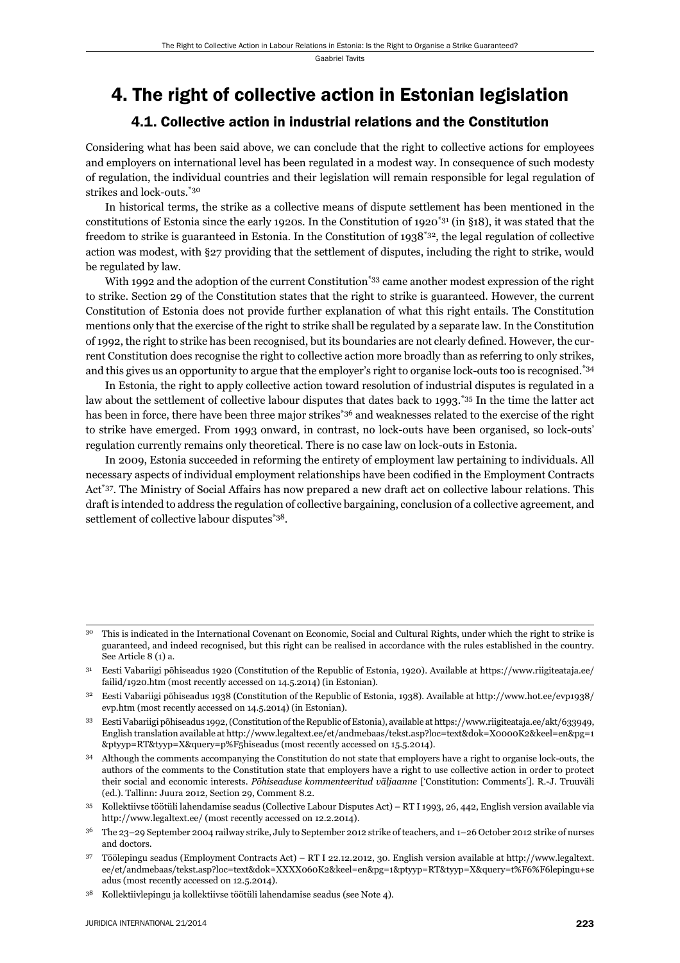# 4. The right of collective action in Estonian legislation

#### 4.1. Collective action in industrial relations and the Constitution

Considering what has been said above, we can conclude that the right to collective actions for employees and employers on international level has been regulated in a modest way. In consequence of such modesty of regulation, the individual countries and their legislation will remain responsible for legal regulation of strikes and lock-outs.\*30

In historical terms, the strike as a collective means of dispute settlement has been mentioned in the constitutions of Estonia since the early 1920s. In the Constitution of 1920\*31 (in §18), it was stated that the freedom to strike is guaranteed in Estonia. In the Constitution of 1938<sup>\*32</sup>, the legal regulation of collective action was modest, with §27 providing that the settlement of disputes, including the right to strike, would be regulated by law.

With 1992 and the adoption of the current Constitution<sup>\*33</sup> came another modest expression of the right to strike. Section 29 of the Constitution states that the right to strike is guaranteed. However, the current Constitution of Estonia does not provide further explanation of what this right entails. The Constitution mentions only that the exercise of the right to strike shall be regulated by a separate law. In the Constitution of 1992, the right to strike has been recognised, but its boundaries are not clearly defined. However, the current Constitution does recognise the right to collective action more broadly than as referring to only strikes, and this gives us an opportunity to argue that the employer's right to organise lock-outs too is recognised.\*34

In Estonia, the right to apply collective action toward resolution of industrial disputes is regulated in a law about the settlement of collective labour disputes that dates back to 1993.<sup>\*35</sup> In the time the latter act has been in force, there have been three major strikes<sup>\*36</sup> and weaknesses related to the exercise of the right to strike have emerged. From 1993 onward, in contrast, no lock-outs have been organised, so lock-outs' regulation currently remains only theoretical. There is no case law on lock-outs in Estonia.

In 2009, Estonia succeeded in reforming the entirety of employment law pertaining to individuals. All necessary aspects of individual employment relationships have been codified in the Employment Contracts Act<sup>\*37</sup>. The Ministry of Social Affairs has now prepared a new draft act on collective labour relations. This draft is intended to address the regulation of collective bargaining, conclusion of a collective agreement, and settlement of collective labour disputes\*38.

<sup>30</sup> This is indicated in the International Covenant on Economic, Social and Cultural Rights, under which the right to strike is guaranteed, and indeed recognised, but this right can be realised in accordance with the rules established in the country. See Article 8 (1) a.

<sup>31</sup> Eesti Vabariigi põhiseadus 1920 (Constitution of the Republic of Estonia, 1920). Available at https://www.riigiteataja.ee/ failid/1920.htm (most recently accessed on 14.5.2014) (in Estonian).

<sup>32</sup> Eesti Vabariigi põhiseadus 1938 (Constitution of the Republic of Estonia, 1938). Available at http://www.hot.ee/evp1938/ evp.htm (most recently accessed on 14.5.2014) (in Estonian).

<sup>33</sup> Eesti Vabariigi põhiseadus 1992, (Constitution of the Republic of Estonia), available at https://www.riigiteataja.ee/akt/633949, English translation available at http://www.legaltext.ee/et/andmebaas/tekst.asp?loc=text&dok=X0000K2&keel=en&pg=1 &ptyyp=RT&tyyp=X&query=p%F5hiseadus (most recently accessed on 15.5.2014).

<sup>34</sup> Although the comments accompanying the Constitution do not state that employers have a right to organise lock-outs, the authors of the comments to the Constitution state that employers have a right to use collective action in order to protect their social and economic interests. *Põhiseaduse kommenteeritud väljaanne* ['Constitution: Comments']. R.-J. Truuväli (ed.). Tallinn: Juura 2012, Section 29, Comment 8.2.

<sup>35</sup> Kollektiivse töötüli lahendamise seadus (Collective Labour Disputes Act) – RT I 1993, 26, 442, English version available via http://www.legaltext.ee/ (most recently accessed on 12.2.2014).

<sup>36</sup> The 23–29 September 2004 railway strike, July to September 2012 strike of teachers, and 1–26 October 2012 strike of nurses and doctors.

<sup>37</sup> Töölepingu seadus (Employment Contracts Act) – RT I 22.12.2012, 30. English version available at http://www.legaltext. ee/et/andmebaas/tekst.asp?loc=text&dok=XXXX060K2&keel=en&pg=1&ptyyp=RT&tyyp=X&query=t%F6%F6lepingu+se adus (most recently accessed on 12.5.2014).

<sup>38</sup> Kollektiivlepingu ja kollektiivse töötüli lahendamise seadus (see Note 4).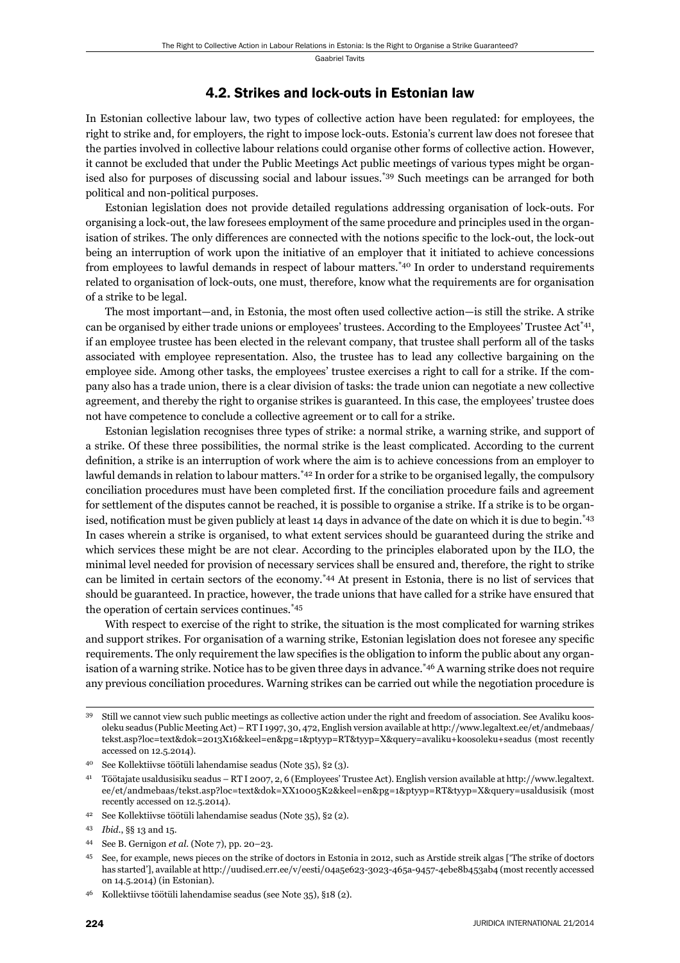#### 4.2. Strikes and lock-outs in Estonian law

In Estonian collective labour law, two types of collective action have been regulated: for employees, the right to strike and, for employers, the right to impose lock-outs. Estonia's current law does not foresee that the parties involved in collective labour relations could organise other forms of collective action. However, it cannot be excluded that under the Public Meetings Act public meetings of various types might be organised also for purposes of discussing social and labour issues.\*39 Such meetings can be arranged for both political and non-political purposes.

Estonian legislation does not provide detailed regulations addressing organisation of lock-outs. For organising a lock-out, the law foresees employment of the same procedure and principles used in the organisation of strikes. The only differences are connected with the notions specific to the lock-out, the lock-out being an interruption of work upon the initiative of an employer that it initiated to achieve concessions from employees to lawful demands in respect of labour matters.\*40 In order to understand requirements related to organisation of lock-outs, one must, therefore, know what the requirements are for organisation of a strike to be legal.

The most important—and, in Estonia, the most often used collective action—is still the strike. A strike can be organised by either trade unions or employees' trustees. According to the Employees' Trustee Act\*41, if an employee trustee has been elected in the relevant company, that trustee shall perform all of the tasks associated with employee representation. Also, the trustee has to lead any collective bargaining on the employee side. Among other tasks, the employees' trustee exercises a right to call for a strike. If the company also has a trade union, there is a clear division of tasks: the trade union can negotiate a new collective agreement, and thereby the right to organise strikes is guaranteed. In this case, the employees' trustee does not have competence to conclude a collective agreement or to call for a strike.

Estonian legislation recognises three types of strike: a normal strike, a warning strike, and support of a strike. Of these three possibilities, the normal strike is the least complicated. According to the current definition, a strike is an interruption of work where the aim is to achieve concessions from an employer to lawful demands in relation to labour matters.<sup>\*42</sup> In order for a strike to be organised legally, the compulsory conciliation procedures must have been completed first. If the conciliation procedure fails and agreement for settlement of the disputes cannot be reached, it is possible to organise a strike. If a strike is to be organised, notification must be given publicly at least 14 days in advance of the date on which it is due to begin.<sup>\*43</sup> In cases wherein a strike is organised, to what extent services should be guaranteed during the strike and which services these might be are not clear. According to the principles elaborated upon by the ILO, the minimal level needed for provision of necessary services shall be ensured and, therefore, the right to strike can be limited in certain sectors of the economy.\*44 At present in Estonia, there is no list of services that should be guaranteed. In practice, however, the trade unions that have called for a strike have ensured that the operation of certain services continues.\*45

With respect to exercise of the right to strike, the situation is the most complicated for warning strikes and support strikes. For organisation of a warning strike, Estonian legislation does not foresee any specific requirements. The only requirement the law specifies is the obligation to inform the public about any organisation of a warning strike. Notice has to be given three days in advance.<sup>\*46</sup> A warning strike does not require any previous conciliation procedures. Warning strikes can be carried out while the negotiation procedure is

<sup>39</sup> Still we cannot view such public meetings as collective action under the right and freedom of association. See Avaliku koosoleku seadus (Public Meeting Act) – RT I 1997, 30, 472, English version available at http://www.legaltext.ee/et/andmebaas/ tekst.asp?loc=text&dok=2013X16&keel=en&pg=1&ptyyp=RT&tyyp=X&query=avaliku+koosoleku+seadus (most recently accessed on 12.5.2014).

<sup>40</sup> See Kollektiivse töötüli lahendamise seadus (Note 35), §2 (3).

<sup>41</sup> Töötajate usaldusisiku seadus – RT I 2007, 2, 6 (Employees' Trustee Act). English version available at http://www.legaltext. ee/et/andmebaas/tekst.asp?loc=text&dok=XX10005K2&keel=en&pg=1&ptyyp=RT&tyyp=X&query=usaldusisik (most recently accessed on 12.5.2014).

<sup>42</sup> See Kollektiivse töötüli lahendamise seadus (Note 35), §2 (2).

<sup>43</sup> *Ibid*., §§ 13 and 15.

<sup>44</sup> See B. Gernigon *et al*. (Note 7), pp. 20–23.

<sup>45</sup> See, for example, news pieces on the strike of doctors in Estonia in 2012, such as Arstide streik algas ['The strike of doctors has started'], available at http://uudised.err.ee/v/eesti/04a5e623-3023-465a-9457-4ebe8b453ab4 (most recently accessed on 14.5.2014) (in Estonian).

<sup>46</sup> Kollektiivse töötüli lahendamise seadus (see Note 35), §18 (2).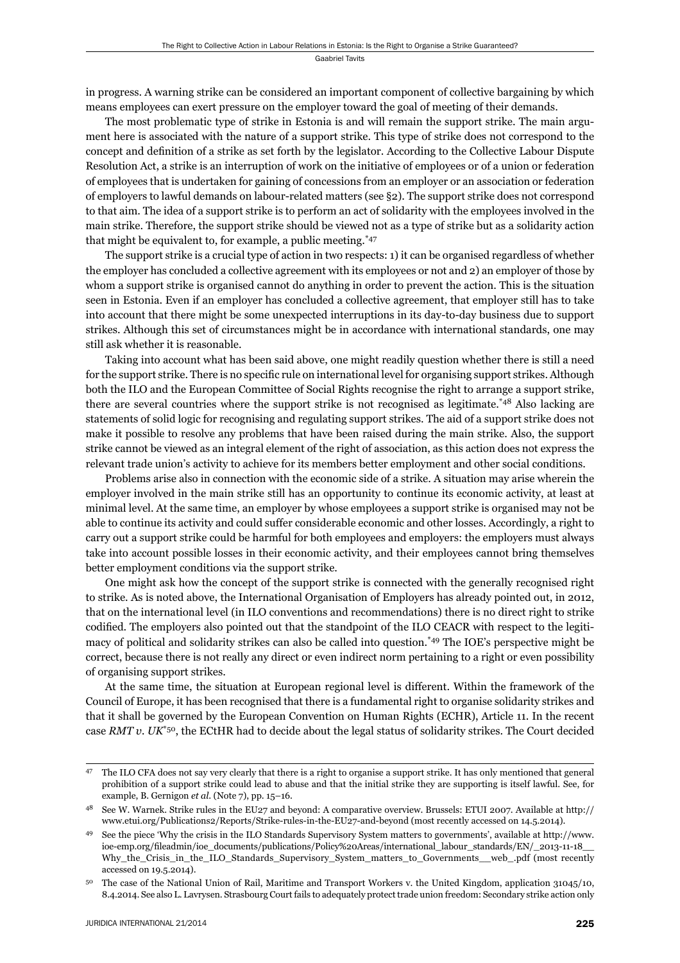in progress. A warning strike can be considered an important component of collective bargaining by which means employees can exert pressure on the employer toward the goal of meeting of their demands.

The most problematic type of strike in Estonia is and will remain the support strike. The main argument here is associated with the nature of a support strike. This type of strike does not correspond to the concept and definition of a strike as set forth by the legislator. According to the Collective Labour Dispute Resolution Act, a strike is an interruption of work on the initiative of employees or of a union or federation of employees that is undertaken for gaining of concessions from an employer or an association or federation of employers to lawful demands on labour-related matters (see §2). The support strike does not correspond to that aim. The idea of a support strike is to perform an act of solidarity with the employees involved in the main strike. Therefore, the support strike should be viewed not as a type of strike but as a solidarity action that might be equivalent to, for example, a public meeting.\*47

The support strike is a crucial type of action in two respects: 1) it can be organised regardless of whether the employer has concluded a collective agreement with its employees or not and 2) an employer of those by whom a support strike is organised cannot do anything in order to prevent the action. This is the situation seen in Estonia. Even if an employer has concluded a collective agreement, that employer still has to take into account that there might be some unexpected interruptions in its day-to-day business due to support strikes. Although this set of circumstances might be in accordance with international standards, one may still ask whether it is reasonable.

Taking into account what has been said above, one might readily question whether there is still a need for the support strike. There is no specific rule on international level for organising support strikes. Although both the ILO and the European Committee of Social Rights recognise the right to arrange a support strike, there are several countries where the support strike is not recognised as legitimate.\*48 Also lacking are statements of solid logic for recognising and regulating support strikes. The aid of a support strike does not make it possible to resolve any problems that have been raised during the main strike. Also, the support strike cannot be viewed as an integral element of the right of association, as this action does not express the relevant trade union's activity to achieve for its members better employment and other social conditions.

Problems arise also in connection with the economic side of a strike. A situation may arise wherein the employer involved in the main strike still has an opportunity to continue its economic activity, at least at minimal level. At the same time, an employer by whose employees a support strike is organised may not be able to continue its activity and could suffer considerable economic and other losses. Accordingly, a right to carry out a support strike could be harmful for both employees and employers: the employers must always take into account possible losses in their economic activity, and their employees cannot bring themselves better employment conditions via the support strike.

One might ask how the concept of the support strike is connected with the generally recognised right to strike. As is noted above, the International Organisation of Employers has already pointed out, in 2012, that on the international level (in ILO conventions and recommendations) there is no direct right to strike codified. The employers also pointed out that the standpoint of the ILO CEACR with respect to the legitimacy of political and solidarity strikes can also be called into question.\*49 The IOE's perspective might be correct, because there is not really any direct or even indirect norm pertaining to a right or even possibility of organising support strikes.

At the same time, the situation at European regional level is different. Within the framework of the Council of Europe, it has been recognised that there is a fundamental right to organise solidarity strikes and that it shall be governed by the European Convention on Human Rights (ECHR), Article 11. In the recent case *RMT v. UK*\*50, the ECtHR had to decide about the legal status of solidarity strikes. The Court decided

<sup>47</sup> The ILO CFA does not say very clearly that there is a right to organise a support strike. It has only mentioned that general prohibition of a support strike could lead to abuse and that the initial strike they are supporting is itself lawful. See, for example, B. Gernigon *et al*. (Note 7), pp. 15–16.

<sup>48</sup> See W. Warnek. Strike rules in the EU27 and beyond: A comparative overview. Brussels: ETUI 2007. Available at http:// www.etui.org/Publications2/Reports/Strike-rules-in-the-EU27-and-beyond (most recently accessed on 14.5.2014).

<sup>49</sup> See the piece 'Why the crisis in the ILO Standards Supervisory System matters to governments', available at http://www. ioe-emp.org/fileadmin/ioe\_documents/publications/Policy%20Areas/international\_labour\_standards/EN/\_2013-11-18\_ Why\_the\_Crisis\_in\_the\_ILO\_Standards\_Supervisory\_System\_matters\_to\_Governments\_\_web\_.pdf (most recently accessed on 19.5.2014).

<sup>50</sup> The case of the National Union of Rail, Maritime and Transport Workers v. the United Kingdom, application 31045/10, 8.4.2014. See also L. Lavrysen. Strasbourg Court fails to adequately protect trade union freedom: Secondary strike action only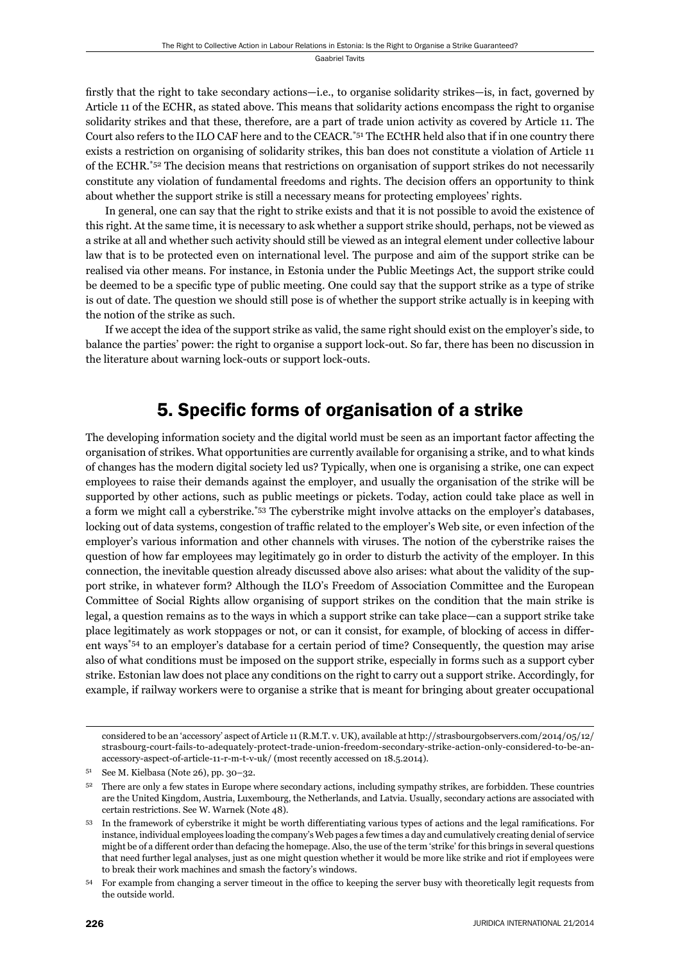firstly that the right to take secondary actions—i.e., to organise solidarity strikes—is, in fact, governed by Article 11 of the ECHR, as stated above. This means that solidarity actions encompass the right to organise solidarity strikes and that these, therefore, are a part of trade union activity as covered by Article 11. The Court also refers to the ILO CAF here and to the CEACR.<sup>\*51</sup> The ECtHR held also that if in one country there exists a restriction on organising of solidarity strikes, this ban does not constitute a violation of Article 11 of the ECHR.<sup>\*52</sup> The decision means that restrictions on organisation of support strikes do not necessarily constitute any violation of fundamental freedoms and rights. The decision offers an opportunity to think about whether the support strike is still a necessary means for protecting employees' rights.

In general, one can say that the right to strike exists and that it is not possible to avoid the existence of this right. At the same time, it is necessary to ask whether a support strike should, perhaps, not be viewed as a strike at all and whether such activity should still be viewed as an integral element under collective labour law that is to be protected even on international level. The purpose and aim of the support strike can be realised via other means. For instance, in Estonia under the Public Meetings Act, the support strike could be deemed to be a specific type of public meeting. One could say that the support strike as a type of strike is out of date. The question we should still pose is of whether the support strike actually is in keeping with the notion of the strike as such.

If we accept the idea of the support strike as valid, the same right should exist on the employer's side, to balance the parties' power: the right to organise a support lock-out. So far, there has been no discussion in the literature about warning lock-outs or support lock-outs.

## 5. Specific forms of organisation of a strike

The developing information society and the digital world must be seen as an important factor affecting the organisation of strikes. What opportunities are currently available for organising a strike, and to what kinds of changes has the modern digital society led us? Typically, when one is organising a strike, one can expect employees to raise their demands against the employer, and usually the organisation of the strike will be supported by other actions, such as public meetings or pickets. Today, action could take place as well in a form we might call a cyberstrike.\*53 The cyberstrike might involve attacks on the employer's databases, locking out of data systems, congestion of traffic related to the employer's Web site, or even infection of the employer's various information and other channels with viruses. The notion of the cyberstrike raises the question of how far employees may legitimately go in order to disturb the activity of the employer. In this connection, the inevitable question already discussed above also arises: what about the validity of the support strike, in whatever form? Although the ILO's Freedom of Association Committee and the European Committee of Social Rights allow organising of support strikes on the condition that the main strike is legal, a question remains as to the ways in which a support strike can take place—can a support strike take place legitimately as work stoppages or not, or can it consist, for example, of blocking of access in different ways\*54 to an employer's database for a certain period of time? Consequently, the question may arise also of what conditions must be imposed on the support strike, especially in forms such as a support cyber strike. Estonian law does not place any conditions on the right to carry out a support strike. Accordingly, for example, if railway workers were to organise a strike that is meant for bringing about greater occupational

considered to be an 'accessory' aspect of Article 11 (R.M.T. v. UK), available at http://strasbourgobservers.com/2014/05/12/ strasbourg-court-fails-to-adequately-protect-trade-union-freedom-secondary-strike-action-only-considered-to-be-anaccessory-aspect-of-article-11-r-m-t-v-uk/ (most recently accessed on 18.5.2014).

<sup>51</sup> See M. Kielbasa (Note 26), pp. 30–32.

<sup>&</sup>lt;sup>52</sup> There are only a few states in Europe where secondary actions, including sympathy strikes, are forbidden. These countries are the United Kingdom, Austria, Luxembourg, the Netherlands, and Latvia. Usually, secondary actions are associated with certain restrictions. See W. Warnek (Note 48).

<sup>53</sup> In the framework of cyberstrike it might be worth differentiating various types of actions and the legal ramifications. For instance, individual employees loading the company's Web pages a few times a day and cumulatively creating denial of service might be of a different order than defacing the homepage. Also, the use of the term 'strike' for this brings in several questions that need further legal analyses, just as one might question whether it would be more like strike and riot if employees were to break their work machines and smash the factory's windows.

For example from changing a server timeout in the office to keeping the server busy with theoretically legit requests from the outside world.